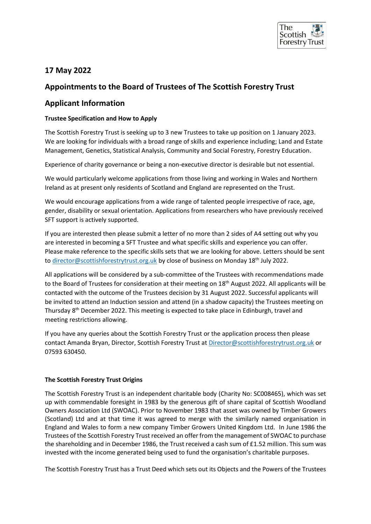

# **17 May 2022**

## **Appointments to the Board of Trustees of The Scottish Forestry Trust**

## **Applicant Information**

### **Trustee Specification and How to Apply**

The Scottish Forestry Trust is seeking up to 3 new Trustees to take up position on 1 January 2023. We are looking for individuals with a broad range of skills and experience including; Land and Estate Management, Genetics, Statistical Analysis, Community and Social Forestry, Forestry Education.

Experience of charity governance or being a non-executive director is desirable but not essential.

We would particularly welcome applications from those living and working in Wales and Northern Ireland as at present only residents of Scotland and England are represented on the Trust.

We would encourage applications from a wide range of talented people irrespective of race, age, gender, disability or sexual orientation. Applications from researchers who have previously received SFT support is actively supported.

If you are interested then please submit a letter of no more than 2 sides of A4 setting out why you are interested in becoming a SFT Trustee and what specific skills and experience you can offer. Please make reference to the specific skills sets that we are looking for above. Letters should be sent to [director@scottishforestrytrust.org.uk](mailto:director@scottishforestrytrust.org.uk) by close of business on Monday 18<sup>th</sup> July 2022.

All applications will be considered by a sub-committee of the Trustees with recommendations made to the Board of Trustees for consideration at their meeting on 18<sup>th</sup> August 2022. All applicants will be contacted with the outcome of the Trustees decision by 31 August 2022. Successful applicants will be invited to attend an Induction session and attend (in a shadow capacity) the Trustees meeting on Thursday 8<sup>th</sup> December 2022. This meeting is expected to take place in Edinburgh, travel and meeting restrictions allowing.

If you have any queries about the Scottish Forestry Trust or the application process then please contact Amanda Bryan, Director, Scottish Forestry Trust at [Director@scottishforestrytrust.org.uk](mailto:Director@scottishforestrytrust.org.uk) or 07593 630450.

## **The Scottish Forestry Trust Origins**

The Scottish Forestry Trust is an independent charitable body (Charity No: SC008465), which was set up with commendable foresight in 1983 by the generous gift of share capital of Scottish Woodland Owners Association Ltd (SWOAC). Prior to November 1983 that asset was owned by Timber Growers (Scotland) Ltd and at that time it was agreed to merge with the similarly named organisation in England and Wales to form a new company Timber Growers United Kingdom Ltd. In June 1986 the Trustees of the Scottish Forestry Trust received an offer from the management of SWOAC to purchase the shareholding and in December 1986, the Trust received a cash sum of £1.52 million. This sum was invested with the income generated being used to fund the organisation's charitable purposes.

The Scottish Forestry Trust has a Trust Deed which sets out its Objects and the Powers of the Trustees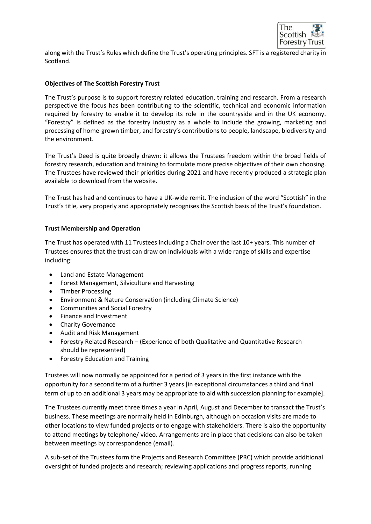

along with the Trust's Rules which define the Trust's operating principles. SFT is a registered charity in Scotland.

#### **Objectives of The Scottish Forestry Trust**

The Trust's purpose is to support forestry related education, training and research. From a research perspective the focus has been contributing to the scientific, technical and economic information required by forestry to enable it to develop its role in the countryside and in the UK economy. "Forestry" is defined as the forestry industry as a whole to include the growing, marketing and processing of home-grown timber, and forestry's contributions to people, landscape, biodiversity and the environment.

The Trust's Deed is quite broadly drawn: it allows the Trustees freedom within the broad fields of forestry research, education and training to formulate more precise objectives of their own choosing. The Trustees have reviewed their priorities during 2021 and have recently produced a strategic plan available to download from the website.

The Trust has had and continues to have a UK-wide remit. The inclusion of the word "Scottish" in the Trust's title, very properly and appropriately recognises the Scottish basis of the Trust's foundation.

#### **Trust Membership and Operation**

The Trust has operated with 11 Trustees including a Chair over the last 10+ years. This number of Trustees ensures that the trust can draw on individuals with a wide range of skills and expertise including:

- Land and Estate Management
- Forest Management, Silviculture and Harvesting
- Timber Processing
- Environment & Nature Conservation (including Climate Science)
- Communities and Social Forestry
- Finance and Investment
- Charity Governance
- Audit and Risk Management
- Forestry Related Research (Experience of both Qualitative and Quantitative Research should be represented)
- Forestry Education and Training

Trustees will now normally be appointed for a period of 3 years in the first instance with the opportunity for a second term of a further 3 years [in exceptional circumstances a third and final term of up to an additional 3 years may be appropriate to aid with succession planning for example].

The Trustees currently meet three times a year in April, August and December to transact the Trust's business. These meetings are normally held in Edinburgh, although on occasion visits are made to other locations to view funded projects or to engage with stakeholders. There is also the opportunity to attend meetings by telephone/ video. Arrangements are in place that decisions can also be taken between meetings by correspondence (email).

A sub-set of the Trustees form the Projects and Research Committee (PRC) which provide additional oversight of funded projects and research; reviewing applications and progress reports, running